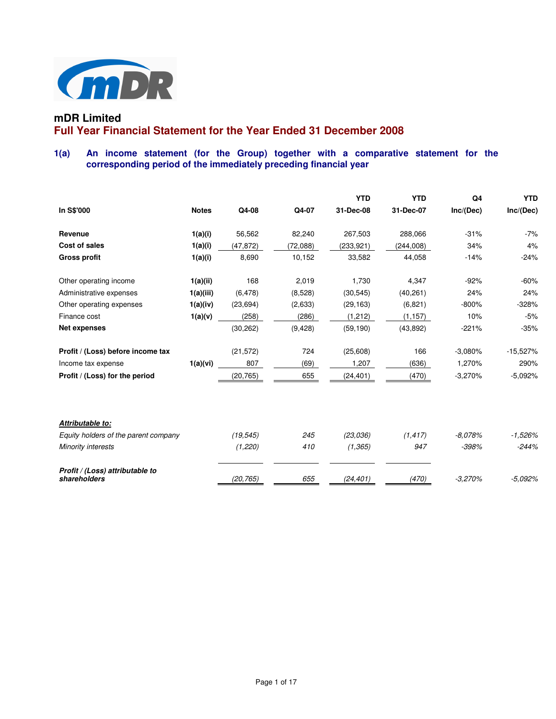

# **mDR Limited Full Year Financial Statement for the Year Ended 31 December 2008**

# **1(a) An income statement (for the Group) together with a comparative statement for the corresponding period of the immediately preceding financial year**

|                                                 |              |           |          | <b>YTD</b> | <b>YTD</b> | Q <sub>4</sub> | <b>YTD</b> |
|-------------------------------------------------|--------------|-----------|----------|------------|------------|----------------|------------|
| In S\$'000                                      | <b>Notes</b> | Q4-08     | Q4-07    | 31-Dec-08  | 31-Dec-07  | Inc/(Dec)      | Inc/(Dec)  |
| Revenue                                         | 1(a)(i)      | 56,562    | 82,240   | 267,503    | 288,066    | $-31%$         | $-7%$      |
| Cost of sales                                   | 1(a)(i)      | (47,872)  | (72,088) | (233, 921) | (244,008)  | 34%            | 4%         |
| <b>Gross profit</b>                             | 1(a)(i)      | 8,690     | 10,152   | 33,582     | 44,058     | $-14%$         | $-24%$     |
| Other operating income                          | 1(a)(ii)     | 168       | 2,019    | 1,730      | 4,347      | $-92%$         | $-60%$     |
| Administrative expenses                         | 1(a)(iii)    | (6, 478)  | (8,528)  | (30, 545)  | (40, 261)  | 24%            | 24%        |
| Other operating expenses                        | 1(a)(iv)     | (23, 694) | (2,633)  | (29, 163)  | (6, 821)   | $-800%$        | $-328%$    |
| Finance cost                                    | 1(a)(v)      | (258)     | (286)    | (1,212)    | (1, 157)   | 10%            | $-5%$      |
| <b>Net expenses</b>                             |              | (30, 262) | (9, 428) | (59, 190)  | (43, 892)  | $-221%$        | $-35%$     |
| Profit / (Loss) before income tax               |              | (21, 572) | 724      | (25,608)   | 166        | $-3.080\%$     | $-15,527%$ |
| Income tax expense                              | 1(a)(vi)     | 807       | (69)     | 1,207      | (636)      | 1,270%         | 290%       |
| Profit / (Loss) for the period                  |              | (20, 765) | 655      | (24, 401)  | (470)      | $-3,270%$      | $-5,092%$  |
|                                                 |              |           |          |            |            |                |            |
| Attributable to:                                |              |           |          |            |            |                |            |
| Equity holders of the parent company            |              | (19.545)  | 245      | (23,036)   | (1, 417)   | $-8.078%$      | $-1.526%$  |
| Minority interests                              |              | (1,220)   | 410      | (1, 365)   | 947        | $-398%$        | $-244%$    |
| Profit / (Loss) attributable to<br>shareholders |              | (20, 765) | 655      | (24, 401)  | (470)      | $-3.270%$      | $-5.092%$  |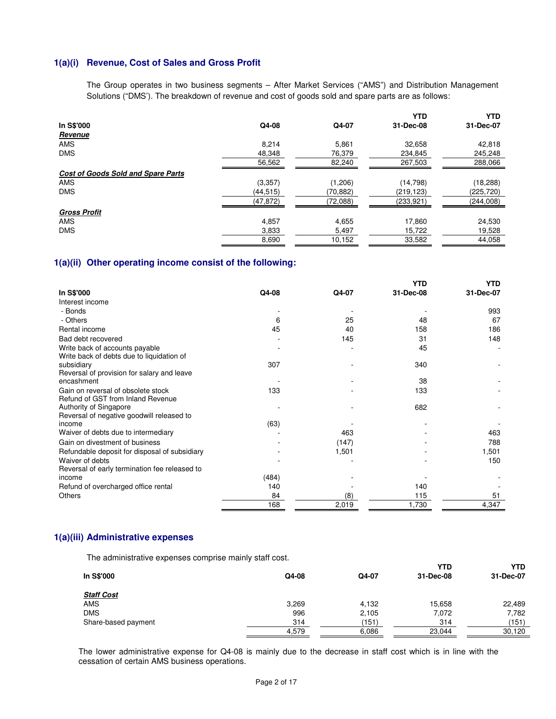#### **1(a)(i) Revenue, Cost of Sales and Gross Profit**

The Group operates in two business segments – After Market Services ("AMS") and Distribution Management Solutions ("DMS'). The breakdown of revenue and cost of goods sold and spare parts are as follows:

|                                           |           |           | <b>YTD</b> | <b>YTD</b> |
|-------------------------------------------|-----------|-----------|------------|------------|
| In S\$'000                                | Q4-08     | Q4-07     | 31-Dec-08  | 31-Dec-07  |
| Revenue                                   |           |           |            |            |
| <b>AMS</b>                                | 8,214     | 5,861     | 32,658     | 42,818     |
| <b>DMS</b>                                | 48,348    | 76,379    | 234,845    | 245,248    |
|                                           | 56,562    | 82,240    | 267,503    | 288,066    |
| <b>Cost of Goods Sold and Spare Parts</b> |           |           |            |            |
| <b>AMS</b>                                | (3,357)   | (1,206)   | (14, 798)  | (18, 288)  |
| <b>DMS</b>                                | (44, 515) | (70, 882) | (219,123)  | (225, 720) |
|                                           | (47, 872) | (72,088)  | (233,921)  | (244,008)  |
| <b>Gross Profit</b>                       |           |           |            |            |
| <b>AMS</b>                                | 4,857     | 4,655     | 17,860     | 24,530     |
| <b>DMS</b>                                | 3,833     | 5,497     | 15,722     | 19,528     |
|                                           | 8,690     | 10,152    | 33,582     | 44,058     |

# **1(a)(ii) Other operating income consist of the following:**

|                                                                             |       |       | YTD       | YTD       |
|-----------------------------------------------------------------------------|-------|-------|-----------|-----------|
| In S\$'000                                                                  | Q4-08 | Q4-07 | 31-Dec-08 | 31-Dec-07 |
| Interest income                                                             |       |       |           |           |
| - Bonds                                                                     |       |       |           | 993       |
| - Others                                                                    | 6     | 25    | 48        | 67        |
| Rental income                                                               | 45    | 40    | 158       | 186       |
| Bad debt recovered                                                          |       | 145   | 31        | 148       |
| Write back of accounts payable<br>Write back of debts due to liquidation of |       |       | 45        |           |
| subsidiary                                                                  | 307   |       | 340       |           |
| Reversal of provision for salary and leave                                  |       |       |           |           |
| encashment                                                                  |       |       | 38        |           |
| Gain on reversal of obsolete stock                                          | 133   |       | 133       |           |
| Refund of GST from Inland Revenue                                           |       |       |           |           |
| Authority of Singapore                                                      |       |       | 682       |           |
| Reversal of negative goodwill released to                                   |       |       |           |           |
| income<br>Waiver of debts due to intermediary                               | (63)  |       |           |           |
|                                                                             |       | 463   |           | 463       |
| Gain on divestment of business                                              |       | (147) |           | 788       |
| Refundable deposit for disposal of subsidiary                               |       | 1,501 |           | 1,501     |
| Waiver of debts                                                             |       |       |           | 150       |
| Reversal of early termination fee released to                               |       |       |           |           |
| income                                                                      | (484) |       |           |           |
| Refund of overcharged office rental                                         | 140   |       | 140       |           |
| <b>Others</b>                                                               | 84    | (8)   | 115       | 51        |
|                                                                             | 168   | 2,019 | 1,730     | 4,347     |

# **1(a)(iii) Administrative expenses**

The administrative expenses comprise mainly staff cost.

| <b>In S\$'000</b>   | Q4-08 | Q4-07 | YTD.<br>31-Dec-08 | YTD<br>31-Dec-07 |
|---------------------|-------|-------|-------------------|------------------|
| <b>Staff Cost</b>   |       |       |                   |                  |
| <b>AMS</b>          | 3,269 | 4,132 | 15,658            | 22,489           |
| <b>DMS</b>          | 996   | 2,105 | 7,072             | 7,782            |
| Share-based payment | 314   | (151) | 314               | (151)            |
|                     | 4,579 | 6,086 | 23,044            | 30,120           |

 The lower administrative expense for Q4-08 is mainly due to the decrease in staff cost which is in line with the cessation of certain AMS business operations.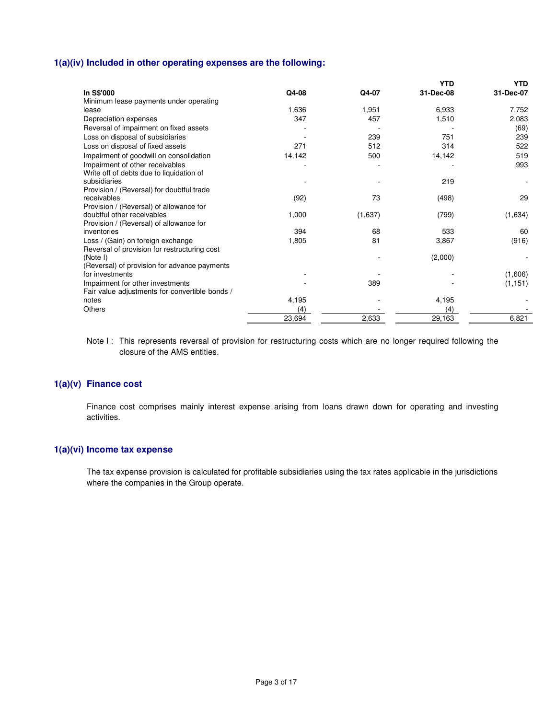# **1(a)(iv) Included in other operating expenses are the following:**

|                                                |         |         | <b>YTD</b> | <b>YTD</b> |
|------------------------------------------------|---------|---------|------------|------------|
| <b>In S\$'000</b>                              | $Q4-08$ | Q4-07   | 31-Dec-08  | 31-Dec-07  |
| Minimum lease payments under operating         |         |         |            |            |
| lease                                          | 1,636   | 1,951   | 6,933      | 7,752      |
| Depreciation expenses                          | 347     | 457     | 1,510      | 2,083      |
| Reversal of impairment on fixed assets         |         |         |            | (69)       |
| Loss on disposal of subsidiaries               |         | 239     | 751        | 239        |
| Loss on disposal of fixed assets               | 271     | 512     | 314        | 522        |
| Impairment of goodwill on consolidation        | 14,142  | 500     | 14,142     | 519        |
| Impairment of other receivables                |         |         |            | 993        |
| Write off of debts due to liquidation of       |         |         |            |            |
| subsidiaries                                   |         |         | 219        |            |
| Provision / (Reversal) for doubtful trade      |         |         |            |            |
| receivables                                    | (92)    | 73      | (498)      | 29         |
| Provision / (Reversal) of allowance for        |         |         |            |            |
| doubtful other receivables                     | 1,000   | (1,637) | (799)      | (1,634)    |
| Provision / (Reversal) of allowance for        |         |         |            |            |
| inventories                                    | 394     | 68      | 533        | 60         |
| Loss / (Gain) on foreign exchange              | 1,805   | 81      | 3,867      | (916)      |
| Reversal of provision for restructuring cost   |         |         |            |            |
| (Note I)                                       |         |         | (2,000)    |            |
| (Reversal) of provision for advance payments   |         |         |            |            |
| for investments                                |         |         |            | (1,606)    |
| Impairment for other investments               |         | 389     |            | (1, 151)   |
| Fair value adjustments for convertible bonds / |         |         |            |            |
| notes                                          | 4,195   |         | 4,195      |            |
| Others                                         | (4)     |         | (4)        |            |
|                                                | 23,694  | 2,633   | 29,163     | 6,821      |

Note I: This represents reversal of provision for restructuring costs which are no longer required following the closure of the AMS entities.

# **1(a)(v) Finance cost**

Finance cost comprises mainly interest expense arising from loans drawn down for operating and investing activities.

# **1(a)(vi) Income tax expense**

The tax expense provision is calculated for profitable subsidiaries using the tax rates applicable in the jurisdictions where the companies in the Group operate.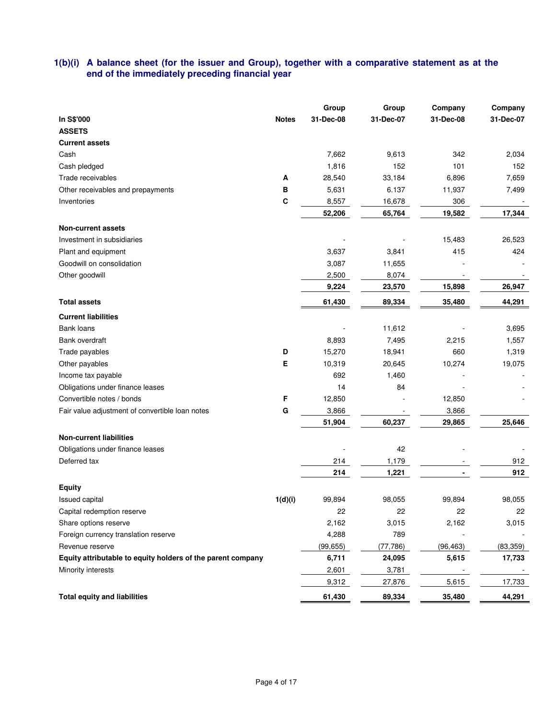# **1(b)(i) A balance sheet (for the issuer and Group), together with a comparative statement as at the end of the immediately preceding financial year**

|                                                             |              | Group     | Group     | Company   | Company   |
|-------------------------------------------------------------|--------------|-----------|-----------|-----------|-----------|
| In S\$'000                                                  | <b>Notes</b> | 31-Dec-08 | 31-Dec-07 | 31-Dec-08 | 31-Dec-07 |
| <b>ASSETS</b>                                               |              |           |           |           |           |
| <b>Current assets</b>                                       |              |           |           |           |           |
| Cash                                                        |              | 7,662     | 9,613     | 342       | 2,034     |
| Cash pledged                                                |              | 1,816     | 152       | 101       | 152       |
| Trade receivables                                           | A            | 28,540    | 33,184    | 6,896     | 7,659     |
| Other receivables and prepayments                           | B            | 5,631     | 6.137     | 11,937    | 7,499     |
| Inventories                                                 | C            | 8,557     | 16,678    | 306       |           |
|                                                             |              | 52,206    | 65,764    | 19,582    | 17,344    |
| <b>Non-current assets</b>                                   |              |           |           |           |           |
| Investment in subsidiaries                                  |              |           |           | 15,483    | 26,523    |
| Plant and equipment                                         |              | 3,637     | 3,841     | 415       | 424       |
| Goodwill on consolidation                                   |              | 3,087     | 11,655    |           |           |
| Other goodwill                                              |              | 2,500     | 8,074     |           |           |
|                                                             |              | 9,224     | 23,570    | 15,898    | 26,947    |
| <b>Total assets</b>                                         |              | 61,430    | 89,334    | 35,480    | 44,291    |
| <b>Current liabilities</b>                                  |              |           |           |           |           |
| <b>Bank loans</b>                                           |              |           | 11,612    |           | 3,695     |
| Bank overdraft                                              |              | 8,893     | 7,495     | 2,215     | 1,557     |
| Trade payables                                              | D            | 15,270    | 18,941    | 660       | 1,319     |
| Other payables                                              | Е            | 10,319    | 20,645    | 10,274    | 19,075    |
| Income tax payable                                          |              | 692       | 1,460     |           |           |
| Obligations under finance leases                            |              | 14        | 84        |           |           |
| Convertible notes / bonds                                   | F            | 12,850    |           | 12,850    |           |
| Fair value adjustment of convertible loan notes             | G            | 3,866     |           | 3,866     |           |
|                                                             |              | 51,904    | 60,237    | 29,865    | 25,646    |
| <b>Non-current liabilities</b>                              |              |           |           |           |           |
| Obligations under finance leases                            |              |           | 42        |           |           |
| Deferred tax                                                |              | 214       | 1,179     |           | 912       |
|                                                             |              | 214       | 1,221     |           | 912       |
| <b>Equity</b>                                               |              |           |           |           |           |
| Issued capital                                              | 1(d)(i)      | 99,894    | 98,055    | 99,894    | 98,055    |
| Capital redemption reserve                                  |              | 22        | 22        | 22        | 22        |
| Share options reserve                                       |              | 2,162     | 3,015     | 2,162     | 3,015     |
| Foreign currency translation reserve                        |              | 4,288     | 789       |           |           |
| Revenue reserve                                             |              | (99, 655) | (77, 786) | (96, 463) | (83, 359) |
| Equity attributable to equity holders of the parent company |              | 6,711     | 24,095    | 5,615     | 17,733    |
| Minority interests                                          |              | 2,601     | 3,781     |           |           |
|                                                             |              | 9,312     | 27,876    | 5,615     | 17,733    |
| <b>Total equity and liabilities</b>                         |              | 61,430    | 89,334    | 35,480    | 44,291    |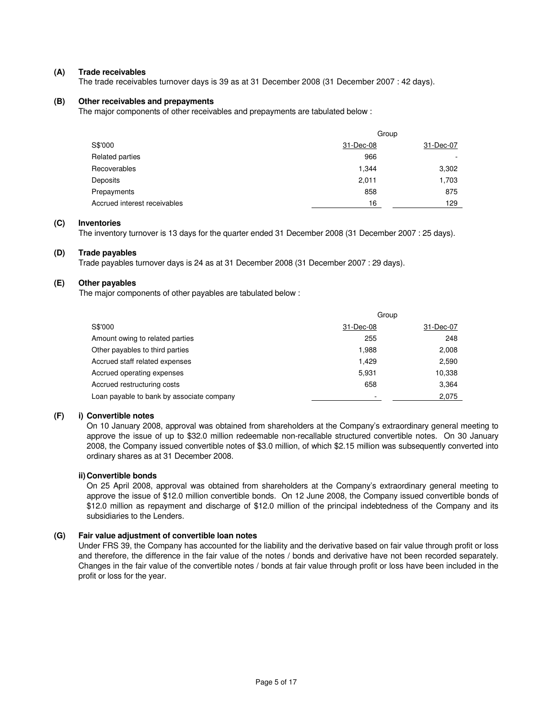#### **(A) Trade receivables**

The trade receivables turnover days is 39 as at 31 December 2008 (31 December 2007 : 42 days).

#### **(B) Other receivables and prepayments**

The major components of other receivables and prepayments are tabulated below :

|                              | Group     |           |  |
|------------------------------|-----------|-----------|--|
| S\$'000                      | 31-Dec-08 | 31-Dec-07 |  |
| <b>Related parties</b>       | 966       |           |  |
| Recoverables                 | 1,344     | 3,302     |  |
| Deposits                     | 2,011     | 1,703     |  |
| Prepayments                  | 858       | 875       |  |
| Accrued interest receivables | 16        | 129       |  |

# **(C) Inventories**

The inventory turnover is 13 days for the quarter ended 31 December 2008 (31 December 2007 : 25 days).

#### **(D) Trade payables**

Trade payables turnover days is 24 as at 31 December 2008 (31 December 2007 : 29 days).

#### **(E) Other payables**

The major components of other payables are tabulated below :

|                                           | Group     |           |  |
|-------------------------------------------|-----------|-----------|--|
| S\$'000                                   | 31-Dec-08 | 31-Dec-07 |  |
| Amount owing to related parties           | 255       | 248       |  |
| Other payables to third parties           | 1,988     | 2,008     |  |
| Accrued staff related expenses            | 1.429     | 2,590     |  |
| Accrued operating expenses                | 5,931     | 10,338    |  |
| Accrued restructuring costs               | 658       | 3.364     |  |
| Loan payable to bank by associate company |           | 2,075     |  |

#### **(F) i) Convertible notes**

 On 10 January 2008, approval was obtained from shareholders at the Company's extraordinary general meeting to approve the issue of up to \$32.0 million redeemable non-recallable structured convertible notes. On 30 January 2008, the Company issued convertible notes of \$3.0 million, of which \$2.15 million was subsequently converted into ordinary shares as at 31 December 2008.

#### **ii) Convertible bonds**

 On 25 April 2008, approval was obtained from shareholders at the Company's extraordinary general meeting to approve the issue of \$12.0 million convertible bonds. On 12 June 2008, the Company issued convertible bonds of \$12.0 million as repayment and discharge of \$12.0 million of the principal indebtedness of the Company and its subsidiaries to the Lenders.

#### **(G) Fair value adjustment of convertible loan notes**

Under FRS 39, the Company has accounted for the liability and the derivative based on fair value through profit or loss and therefore, the difference in the fair value of the notes / bonds and derivative have not been recorded separately. Changes in the fair value of the convertible notes / bonds at fair value through profit or loss have been included in the profit or loss for the year.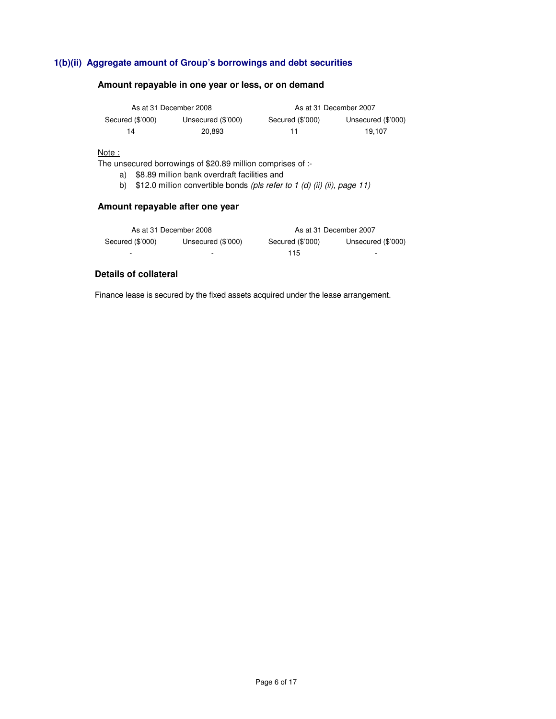# **1(b)(ii) Aggregate amount of Group's borrowings and debt securities**

#### **Amount repayable in one year or less, or on demand**

| As at 31 December 2008 |                    | As at 31 December 2007 |                    |  |
|------------------------|--------------------|------------------------|--------------------|--|
| Secured (\$'000)       | Unsecured (\$'000) | Secured (\$'000)       | Unsecured (\$'000) |  |
| 14                     | 20.893             |                        | 19.107             |  |

Note:

The unsecured borrowings of \$20.89 million comprises of :-

a) \$8.89 million bank overdraft facilities and

b)  $$12.0$  million convertible bonds (pls refer to 1 (d) (ii) (ii), page 11)

# **Amount repayable after one year**

| As at 31 December 2008 |                    |                  | As at 31 December 2007 |
|------------------------|--------------------|------------------|------------------------|
| Secured (\$'000)       | Unsecured (\$'000) | Secured (\$'000) | Unsecured (\$'000)     |
|                        |                    | 115              |                        |

#### **Details of collateral**

Finance lease is secured by the fixed assets acquired under the lease arrangement.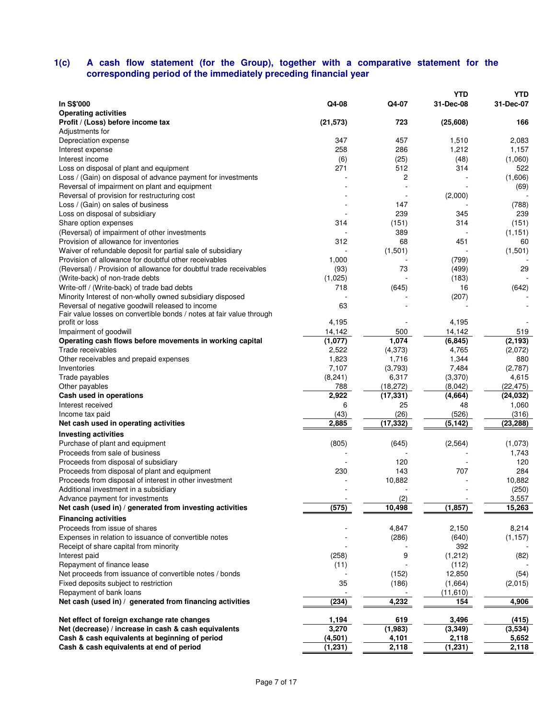# **1(c) A cash flow statement (for the Group), together with a comparative statement for the corresponding period of the immediately preceding financial year**

| <b>In S\$'000</b>                                                                                | Q4-08      | Q4-07          | <b>YTD</b><br>31-Dec-08 | <b>YTD</b><br>31-Dec-07 |
|--------------------------------------------------------------------------------------------------|------------|----------------|-------------------------|-------------------------|
| <b>Operating activities</b>                                                                      |            |                |                         |                         |
| Profit / (Loss) before income tax                                                                | (21, 573)  | 723            | (25, 608)               | 166                     |
| Adjustments for                                                                                  |            |                |                         |                         |
| Depreciation expense                                                                             | 347<br>258 | 457<br>286     | 1,510<br>1,212          | 2,083<br>1,157          |
| Interest expense<br>Interest income                                                              |            |                | (48)                    | (1,060)                 |
| Loss on disposal of plant and equipment                                                          | (6)<br>271 | (25)<br>512    | 314                     | 522                     |
| Loss / (Gain) on disposal of advance payment for investments                                     |            | 2              |                         | (1,606)                 |
| Reversal of impairment on plant and equipment                                                    |            |                |                         | (69)                    |
| Reversal of provision for restructuring cost                                                     |            |                | (2,000)                 |                         |
| Loss / (Gain) on sales of business                                                               |            | 147            |                         | (788)                   |
| Loss on disposal of subsidiary                                                                   |            | 239            | 345                     | 239                     |
| Share option expenses                                                                            | 314        | (151)          | 314                     | (151)                   |
| (Reversal) of impairment of other investments                                                    |            | 389            |                         | (1, 151)                |
| Provision of allowance for inventories                                                           | 312        | 68             | 451                     | 60                      |
| Waiver of refundable deposit for partial sale of subsidiary                                      |            | (1,501)        |                         | (1,501)                 |
| Provision of allowance for doubtful other receivables                                            | 1,000      |                | (799)                   |                         |
| (Reversal) / Provision of allowance for doubtful trade receivables                               | (93)       | 73             | (499)                   | 29                      |
| (Write-back) of non-trade debts                                                                  | (1,025)    |                | (183)                   |                         |
| Write-off / (Write-back) of trade bad debts                                                      | 718        | (645)          | 16                      | (642)                   |
| Minority Interest of non-wholly owned subsidiary disposed                                        |            |                | (207)                   |                         |
| Reversal of negative goodwill released to income                                                 | 63         |                |                         |                         |
| Fair value losses on convertible bonds / notes at fair value through<br>profit or loss           | 4,195      |                | 4,195                   |                         |
| Impairment of goodwill                                                                           | 14,142     | 500            | 14,142                  | 519                     |
| Operating cash flows before movements in working capital                                         | (1,077)    | 1,074          | (6, 845)                | (2, 193)                |
| Trade receivables                                                                                | 2,522      | (4, 373)       | 4,765                   | (2,072)                 |
| Other receivables and prepaid expenses                                                           | 1,823      | 1,716          | 1,344                   | 880                     |
| Inventories                                                                                      | 7,107      | (3,793)        | 7,484                   | (2,787)                 |
| Trade payables                                                                                   | (8, 241)   | 6,317          | (3,370)                 | 4,615                   |
| Other payables                                                                                   | 788        | (18, 272)      | (8,042)                 | (22, 475)               |
| Cash used in operations                                                                          | 2,922      | (17, 331)      | (4, 664)                | (24, 032)               |
| Interest received                                                                                | 6          | 25             | 48                      | 1,060                   |
| Income tax paid                                                                                  | (43)       | (26)           | (526)                   | (316)                   |
| Net cash used in operating activities                                                            | 2,885      | (17, 332)      | (5, 142)                | (23, 288)               |
| <b>Investing activities</b>                                                                      |            |                |                         |                         |
| Purchase of plant and equipment                                                                  | (805)      | (645)          | (2, 564)                | (1,073)                 |
| Proceeds from sale of business                                                                   |            |                |                         | 1,743                   |
| Proceeds from disposal of subsidiary                                                             |            | 120            |                         | 120                     |
| Proceeds from disposal of plant and equipment                                                    | 230        | 143            | 707                     | 284                     |
| Proceeds from disposal of interest in other investment                                           |            | 10,882         |                         | 10,882                  |
| Additional investment in a subsidiary                                                            |            |                |                         | (250)                   |
| Advance payment for investments                                                                  |            | (2)            |                         | 3,557                   |
| Net cash (used in) / generated from investing activities                                         | (575)      | 10,498         | (1, 857)                | 15,263                  |
| <b>Financing activities</b>                                                                      |            |                |                         |                         |
| Proceeds from issue of shares                                                                    |            | 4,847          | 2,150                   | 8,214                   |
| Expenses in relation to issuance of convertible notes                                            |            | (286)          | (640)                   | (1, 157)                |
| Receipt of share capital from minority                                                           |            |                | 392                     |                         |
| Interest paid                                                                                    | (258)      | 9              | (1,212)                 | (82)                    |
| Repayment of finance lease                                                                       | (11)       |                | (112)                   |                         |
| Net proceeds from issuance of convertible notes / bonds<br>Fixed deposits subject to restriction | 35         | (152)<br>(186) | 12,850                  | (54)<br>(2,015)         |
| Repayment of bank loans                                                                          |            |                | (1,664)<br>(11,610)     |                         |
| Net cash (used in) / generated from financing activities                                         | (234)      | 4,232          | 154                     | 4,906                   |
| Net effect of foreign exchange rate changes                                                      | 1,194      | 619            | 3,496                   | (415)                   |
| Net (decrease) / increase in cash & cash equivalents                                             | 3,270      | (1,983)        | (3, 349)                | (3,534)                 |
| Cash & cash equivalents at beginning of period                                                   | (4,501)    | 4,101          | 2,118                   | 5,652                   |
| Cash & cash equivalents at end of period                                                         | (1, 231)   | 2,118          | (1, 231)                | 2,118                   |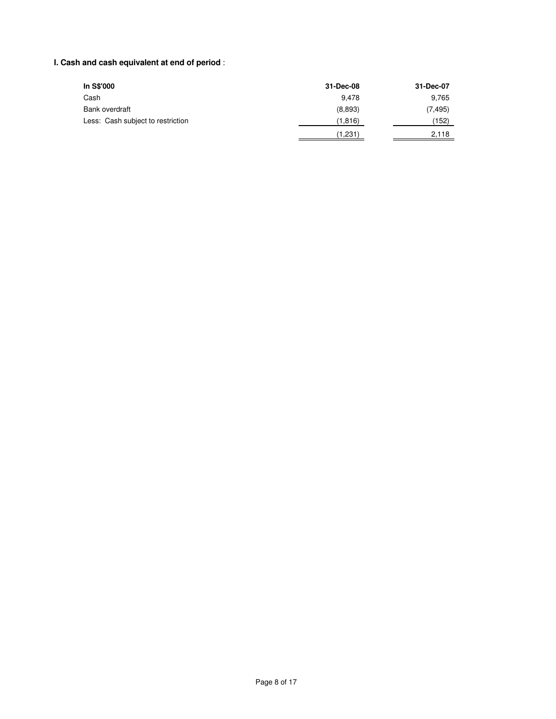# **I. Cash and cash equivalent at end of period** :

| In S\$'000                        | 31-Dec-08 | 31-Dec-07 |
|-----------------------------------|-----------|-----------|
| Cash                              | 9.478     | 9,765     |
| Bank overdraft                    | (8,893)   | (7, 495)  |
| Less: Cash subject to restriction | (1.816)   | (152)     |
|                                   | (1,231)   | 2.118     |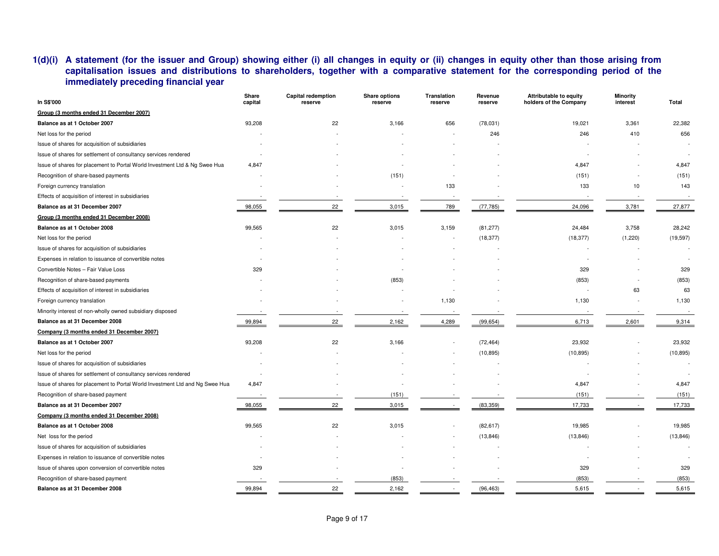# 1(d)(i) A statement (for the issuer and Group) showing either (i) all changes in equity or (ii) changes in equity other than those arising from<br>capitalisation issues and distributions to shareholders, together with a compa **immediately preceding financial year**

| In S\$'000                                                                   | Share<br>capital | Capital redemption<br>reserve | Share options<br>reserve | Translation<br>reserve | Revenue<br>reserve | Attributable to equity<br>holders of the Company | <b>Minority</b><br>interest | <b>Total</b> |
|------------------------------------------------------------------------------|------------------|-------------------------------|--------------------------|------------------------|--------------------|--------------------------------------------------|-----------------------------|--------------|
| Group (3 months ended 31 December 2007)                                      |                  |                               |                          |                        |                    |                                                  |                             |              |
| Balance as at 1 October 2007                                                 | 93,208           | 22                            | 3,166                    | 656                    | (78, 031)          | 19,021                                           | 3,361                       | 22,382       |
| Net loss for the period                                                      |                  |                               |                          |                        | 246                | 246                                              | 410                         | 656          |
| Issue of shares for acquisition of subsidiaries                              |                  |                               |                          |                        |                    |                                                  |                             |              |
| Issue of shares for settlement of consultancy services rendered              |                  |                               |                          |                        |                    |                                                  |                             |              |
| Issue of shares for placement to Portal World Investment Ltd & Ng Swee Hua   | 4,847            |                               |                          |                        |                    | 4,847                                            |                             | 4,847        |
| Recognition of share-based payments                                          |                  |                               | (151)                    |                        |                    | (151)                                            | ٠                           | (151)        |
| Foreign currency translation                                                 |                  |                               |                          | 133                    |                    | 133                                              | 10                          | 143          |
| Effects of acquisition of interest in subsidiaries                           |                  |                               |                          |                        |                    |                                                  |                             |              |
| Balance as at 31 December 2007                                               | 98,055           | 22                            | 3,015                    | 789                    | (77, 785)          | 24,096                                           | 3,781                       | 27,877       |
| Group (3 months ended 31 December 2008)                                      |                  |                               |                          |                        |                    |                                                  |                             |              |
| Balance as at 1 October 2008                                                 | 99,565           | 22                            | 3,015                    | 3,159                  | (81, 277)          | 24,484                                           | 3,758                       | 28,242       |
| Net loss for the period                                                      |                  |                               |                          |                        | (18, 377)          | (18, 377)                                        | (1,220)                     | (19, 597)    |
| Issue of shares for acquisition of subsidiaries                              |                  |                               |                          |                        |                    |                                                  |                             |              |
| Expenses in relation to issuance of convertible notes                        |                  |                               |                          |                        |                    |                                                  |                             |              |
| Convertible Notes - Fair Value Loss                                          | 329              |                               |                          |                        |                    | 329                                              |                             | 329          |
| Recognition of share-based payments                                          |                  |                               | (853)                    |                        |                    | (853)                                            |                             | (853)        |
| Effects of acquisition of interest in subsidiaries                           |                  |                               |                          |                        |                    | ٠.                                               | 63                          | 63           |
| Foreign currency translation                                                 |                  |                               |                          | 1,130                  |                    | 1,130                                            |                             | 1,130        |
| Minority interest of non-wholly owned subsidiary disposed                    |                  |                               |                          |                        |                    |                                                  |                             |              |
| Balance as at 31 December 2008                                               | 99,894           | 22                            | 2,162                    | 4,289                  | (99, 654)          | 6,713                                            | 2,601                       | 9,314        |
| Company (3 months ended 31 December 2007)                                    |                  |                               |                          |                        |                    |                                                  |                             |              |
| Balance as at 1 October 2007                                                 | 93,208           | 22                            | 3,166                    |                        | (72, 464)          | 23,932                                           |                             | 23,932       |
| Net loss for the period                                                      |                  |                               |                          |                        | (10, 895)          | (10, 895)                                        |                             | (10, 895)    |
| Issue of shares for acquisition of subsidiaries                              |                  |                               |                          |                        |                    |                                                  |                             |              |
| Issue of shares for settlement of consultancy services rendered              |                  |                               |                          |                        |                    |                                                  |                             |              |
| Issue of shares for placement to Portal World Investment Ltd and Ng Swee Hua | 4,847            |                               |                          |                        |                    | 4,847                                            |                             | 4,847        |
| Recognition of share-based payment                                           |                  |                               | (151)                    |                        |                    | (151)                                            |                             | (151)        |
| Balance as at 31 December 2007                                               | 98,055           | 22                            | 3,015                    |                        | (83, 359)          | 17,733                                           |                             | 17,733       |
| Company (3 months ended 31 December 2008)                                    |                  |                               |                          |                        |                    |                                                  |                             |              |
| Balance as at 1 October 2008                                                 | 99,565           | 22                            | 3,015                    |                        | (82, 617)          | 19,985                                           |                             | 19,985       |
| Net loss for the period                                                      |                  |                               |                          |                        | (13, 846)          | (13, 846)                                        |                             | (13, 846)    |
| Issue of shares for acquisition of subsidiaries                              |                  |                               |                          |                        |                    |                                                  |                             |              |
| Expenses in relation to issuance of convertible notes                        |                  |                               |                          |                        |                    |                                                  |                             |              |
| Issue of shares upon conversion of convertible notes                         | 329              |                               |                          |                        |                    | 329                                              |                             | 329          |
| Recognition of share-based payment                                           |                  |                               | (853)                    |                        |                    | (853)                                            |                             | (853)        |
| Balance as at 31 December 2008                                               | 99,894           | 22                            | 2,162                    |                        | (96, 463)          | 5,615                                            |                             | 5,615        |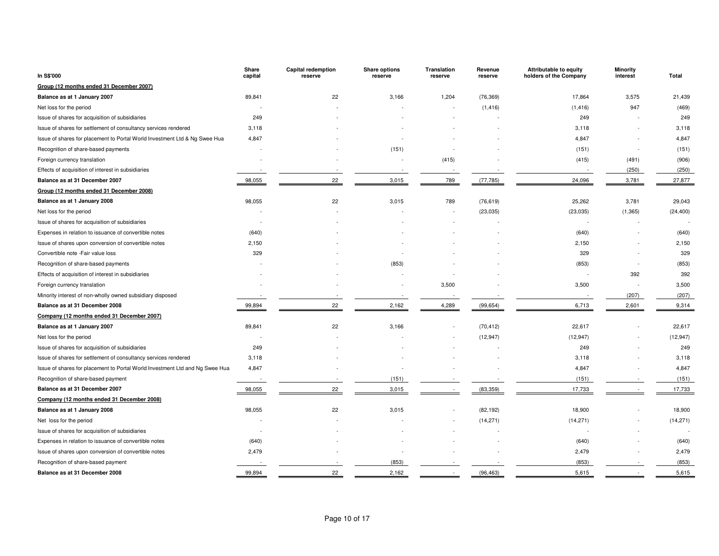| In S\$'000                                                                   | Share<br>capital         | Capital redemption<br>reserve | <b>Share options</b><br>reserve | <b>Translation</b><br>reserve | Revenue<br>reserve | Attributable to equity<br>holders of the Company | <b>Minority</b><br>interest | Total     |
|------------------------------------------------------------------------------|--------------------------|-------------------------------|---------------------------------|-------------------------------|--------------------|--------------------------------------------------|-----------------------------|-----------|
| Group (12 months ended 31 December 2007)                                     |                          |                               |                                 |                               |                    |                                                  |                             |           |
| Balance as at 1 January 2007                                                 | 89,841                   | 22                            | 3,166                           | 1,204                         | (76, 369)          | 17,864                                           | 3,575                       | 21,439    |
| Net loss for the period                                                      |                          |                               |                                 |                               | (1, 416)           | (1, 416)                                         | 947                         | (469)     |
| Issue of shares for acquisition of subsidiaries                              | 249                      |                               |                                 |                               |                    | 249                                              |                             | 249       |
| Issue of shares for settlement of consultancy services rendered              | 3,118                    |                               |                                 |                               |                    | 3,118                                            |                             | 3,118     |
| Issue of shares for placement to Portal World Investment Ltd & Ng Swee Hua   | 4,847                    |                               |                                 |                               |                    | 4,847                                            |                             | 4,847     |
| Recognition of share-based payments                                          |                          |                               | (151)                           |                               |                    | (151)                                            |                             | (151)     |
| Foreign currency translation                                                 |                          |                               |                                 | (415)                         |                    | (415)                                            | (491)                       | (906)     |
| Effects of acquisition of interest in subsidiaries                           |                          |                               | $\sim$                          | $\sim$                        |                    | $\sim$                                           | (250)                       | (250)     |
| Balance as at 31 December 2007                                               | 98,055                   | 22                            | 3,015                           | 789                           | (77, 785)          | 24,096                                           | 3,781                       | 27,877    |
| Group (12 months ended 31 December 2008)                                     |                          |                               |                                 |                               |                    |                                                  |                             |           |
| Balance as at 1 January 2008                                                 | 98,055                   | 22                            | 3,015                           | 789                           | (76, 619)          | 25,262                                           | 3,781                       | 29,043    |
| Net loss for the period                                                      |                          |                               |                                 |                               | (23, 035)          | (23, 035)                                        | (1, 365)                    | (24, 400) |
| Issue of shares for acquisition of subsidiaries                              | $\overline{\phantom{a}}$ |                               |                                 |                               |                    |                                                  |                             |           |
| Expenses in relation to issuance of convertible notes                        | (640)                    |                               |                                 |                               |                    | (640)                                            |                             | (640)     |
| Issue of shares upon conversion of convertible notes                         | 2,150                    |                               |                                 |                               |                    | 2,150                                            |                             | 2,150     |
| Convertible note -Fair value loss                                            | 329                      |                               |                                 |                               |                    | 329                                              |                             | 329       |
| Recognition of share-based payments                                          |                          |                               | (853)                           |                               |                    | (853)                                            | ٠                           | (853)     |
| Effects of acquisition of interest in subsidiaries                           |                          |                               |                                 |                               |                    | $\overline{\phantom{a}}$                         | 392                         | 392       |
| Foreign currency translation                                                 |                          |                               | $\sim$                          | 3,500                         |                    | 3,500                                            |                             | 3,500     |
| Minority interest of non-wholly owned subsidiary disposed                    |                          |                               |                                 |                               |                    |                                                  | (207)                       | (207)     |
| Balance as at 31 December 2008                                               | 99,894                   | 22                            | 2,162                           | 4,289                         | (99, 654)          | 6,713                                            | 2,601                       | 9,314     |
| Company (12 months ended 31 December 2007)                                   |                          |                               |                                 |                               |                    |                                                  |                             |           |
| Balance as at 1 January 2007                                                 | 89,841                   | 22                            | 3,166                           |                               | (70, 412)          | 22,617                                           |                             | 22,617    |
| Net loss for the period                                                      |                          |                               |                                 |                               | (12, 947)          | (12, 947)                                        |                             | (12, 947) |
| Issue of shares for acquisition of subsidiaries                              | 249                      |                               |                                 |                               |                    | 249                                              |                             | 249       |
| Issue of shares for settlement of consultancy services rendered              | 3,118                    |                               |                                 |                               |                    | 3,118                                            |                             | 3,118     |
| Issue of shares for placement to Portal World Investment Ltd and Ng Swee Hua | 4,847                    |                               |                                 |                               |                    | 4,847                                            |                             | 4,847     |
| Recognition of share-based payment                                           |                          |                               | (151)                           |                               |                    | (151)                                            |                             | (151)     |
| Balance as at 31 December 2007                                               | 98,055                   | 22                            | 3,015                           |                               | (83, 359)          | 17,733                                           |                             | 17,733    |
| Company (12 months ended 31 December 2008)                                   |                          |                               |                                 |                               |                    |                                                  |                             |           |
| Balance as at 1 January 2008                                                 | 98,055                   | 22                            | 3,015                           |                               | (82, 192)          | 18,900                                           |                             | 18,900    |
| Net loss for the period                                                      |                          |                               |                                 |                               | (14, 271)          | (14, 271)                                        |                             | (14, 271) |
| Issue of shares for acquisition of subsidiaries                              | $\overline{\phantom{a}}$ |                               |                                 |                               |                    |                                                  |                             |           |
| Expenses in relation to issuance of convertible notes                        | (640)                    |                               |                                 |                               |                    | (640)                                            |                             | (640)     |
| Issue of shares upon conversion of convertible notes                         | 2,479                    |                               |                                 |                               |                    | 2,479                                            |                             | 2,479     |
| Recognition of share-based payment                                           |                          |                               | (853)                           |                               |                    | (853)                                            |                             | (853)     |
| Balance as at 31 December 2008                                               | 99,894                   | 22                            | 2,162                           |                               | (96, 463)          | 5,615                                            |                             | 5,615     |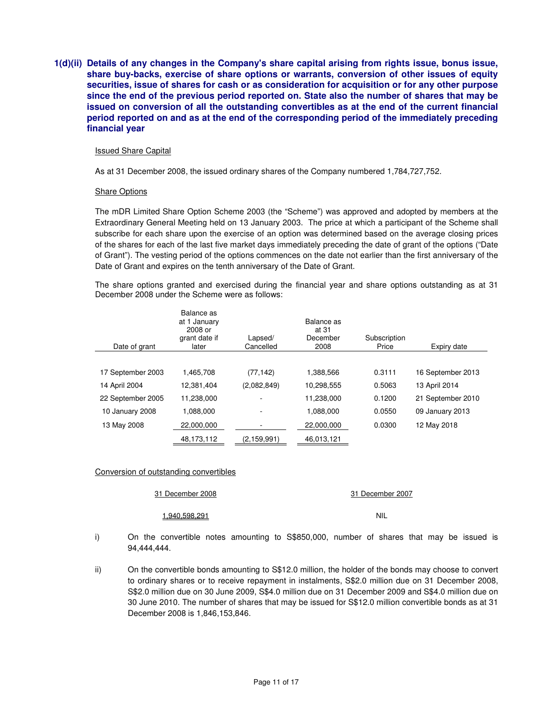**1(d)(ii) Details of any changes in the Company's share capital arising from rights issue, bonus issue, share buy-backs, exercise of share options or warrants, conversion of other issues of equity securities, issue of shares for cash or as consideration for acquisition or for any other purpose since the end of the previous period reported on. State also the number of shares that may be issued on conversion of all the outstanding convertibles as at the end of the current financial period reported on and as at the end of the corresponding period of the immediately preceding financial year** 

#### Issued Share Capital

As at 31 December 2008, the issued ordinary shares of the Company numbered 1,784,727,752.

#### Share Options

The mDR Limited Share Option Scheme 2003 (the "Scheme") was approved and adopted by members at the Extraordinary General Meeting held on 13 January 2003. The price at which a participant of the Scheme shall subscribe for each share upon the exercise of an option was determined based on the average closing prices of the shares for each of the last five market days immediately preceding the date of grant of the options ("Date of Grant"). The vesting period of the options commences on the date not earlier than the first anniversary of the Date of Grant and expires on the tenth anniversary of the Date of Grant.

The share options granted and exercised during the financial year and share options outstanding as at 31 December 2008 under the Scheme were as follows:

| Date of grant     | Balance as<br>at 1 January<br>2008 or<br>grant date if<br>later | Lapsed/<br>Cancelled | Balance as<br>at 31<br>December<br>2008 | Subscription<br>Price | Expiry date       |
|-------------------|-----------------------------------------------------------------|----------------------|-----------------------------------------|-----------------------|-------------------|
|                   |                                                                 |                      |                                         |                       |                   |
| 17 September 2003 | 1.465.708                                                       | (77, 142)            | 1,388,566                               | 0.3111                | 16 September 2013 |
| 14 April 2004     | 12,381,404                                                      | (2,082,849)          | 10,298,555                              | 0.5063                | 13 April 2014     |
| 22 September 2005 | 11,238,000                                                      |                      | 11,238,000                              | 0.1200                | 21 September 2010 |
| 10 January 2008   | 1.088.000                                                       |                      | 1,088,000                               | 0.0550                | 09 January 2013   |
| 13 May 2008       | 22.000.000                                                      |                      | 22,000,000                              | 0.0300                | 12 May 2018       |
|                   | 48,173,112                                                      | (2, 159, 991)        | 46,013,121                              |                       |                   |

#### Conversion of outstanding convertibles

| 31 December 2008 | 31 December 2007 |
|------------------|------------------|
| 1,940,598,291    | NIL              |

- i) On the convertible notes amounting to S\$850,000, number of shares that may be issued is 94,444,444.
- ii) On the convertible bonds amounting to S\$12.0 million, the holder of the bonds may choose to convert to ordinary shares or to receive repayment in instalments, S\$2.0 million due on 31 December 2008, S\$2.0 million due on 30 June 2009, S\$4.0 million due on 31 December 2009 and S\$4.0 million due on 30 June 2010. The number of shares that may be issued for S\$12.0 million convertible bonds as at 31 December 2008 is 1,846,153,846.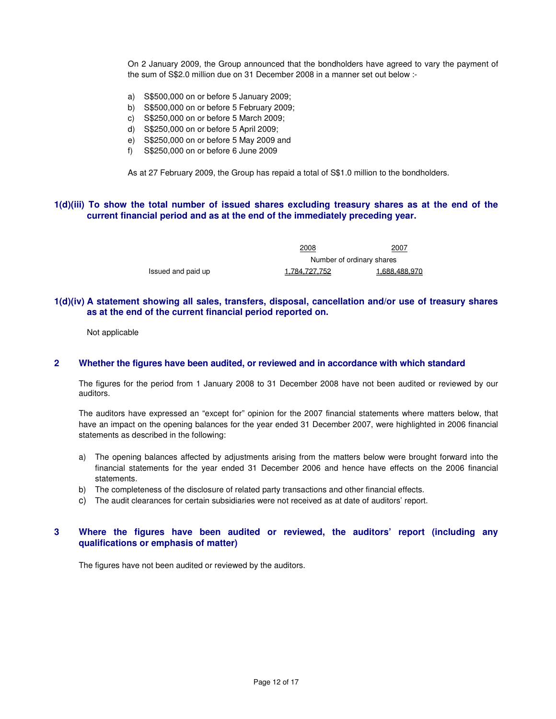On 2 January 2009, the Group announced that the bondholders have agreed to vary the payment of the sum of S\$2.0 million due on 31 December 2008 in a manner set out below :-

- a) S\$500,000 on or before 5 January 2009;
- b) S\$500,000 on or before 5 February 2009;
- c) S\$250,000 on or before 5 March 2009;
- d) S\$250,000 on or before 5 April 2009;
- e) S\$250,000 on or before 5 May 2009 and
- f) S\$250,000 on or before 6 June 2009

As at 27 February 2009, the Group has repaid a total of S\$1.0 million to the bondholders.

#### **1(d)(iii) To show the total number of issued shares excluding treasury shares as at the end of the current financial period and as at the end of the immediately preceding year.**

|                    | 2008                      | 2007          |
|--------------------|---------------------------|---------------|
|                    | Number of ordinary shares |               |
| Issued and paid up | 1.784.727.752             | 1.688.488.970 |

#### **1(d)(iv) A statement showing all sales, transfers, disposal, cancellation and/or use of treasury shares as at the end of the current financial period reported on.**

Not applicable

#### **2 Whether the figures have been audited, or reviewed and in accordance with which standard**

The figures for the period from 1 January 2008 to 31 December 2008 have not been audited or reviewed by our auditors.

The auditors have expressed an "except for" opinion for the 2007 financial statements where matters below, that have an impact on the opening balances for the year ended 31 December 2007, were highlighted in 2006 financial statements as described in the following:

- a) The opening balances affected by adjustments arising from the matters below were brought forward into the financial statements for the year ended 31 December 2006 and hence have effects on the 2006 financial statements.
- b) The completeness of the disclosure of related party transactions and other financial effects.
- c) The audit clearances for certain subsidiaries were not received as at date of auditors' report.

#### **3 Where the figures have been audited or reviewed, the auditors' report (including any qualifications or emphasis of matter)**

The figures have not been audited or reviewed by the auditors.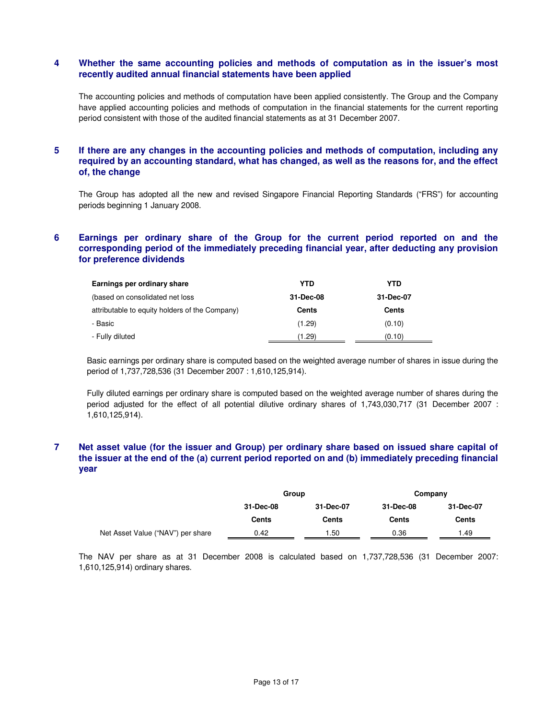## **4 Whether the same accounting policies and methods of computation as in the issuer's most recently audited annual financial statements have been applied**

The accounting policies and methods of computation have been applied consistently. The Group and the Company have applied accounting policies and methods of computation in the financial statements for the current reporting period consistent with those of the audited financial statements as at 31 December 2007.

# **5 If there are any changes in the accounting policies and methods of computation, including any required by an accounting standard, what has changed, as well as the reasons for, and the effect of, the change**

The Group has adopted all the new and revised Singapore Financial Reporting Standards ("FRS") for accounting periods beginning 1 January 2008.

# **6 Earnings per ordinary share of the Group for the current period reported on and the corresponding period of the immediately preceding financial year, after deducting any provision for preference dividends**

| Earnings per ordinary share                    | YTD       | YTD       |
|------------------------------------------------|-----------|-----------|
| (based on consolidated net loss)               | 31-Dec-08 | 31-Dec-07 |
| attributable to equity holders of the Company) | Cents     | Cents     |
| - Basic                                        | (1.29)    | (0.10)    |
| - Fully diluted                                | (1.29)    | (0.10)    |

Basic earnings per ordinary share is computed based on the weighted average number of shares in issue during the period of 1,737,728,536 (31 December 2007 : 1,610,125,914).

Fully diluted earnings per ordinary share is computed based on the weighted average number of shares during the period adjusted for the effect of all potential dilutive ordinary shares of 1,743,030,717 (31 December 2007 : 1,610,125,914).

# **7 Net asset value (for the issuer and Group) per ordinary share based on issued share capital of the issuer at the end of the (a) current period reported on and (b) immediately preceding financial year**

|                                   | Group        |           | Company      |           |
|-----------------------------------|--------------|-----------|--------------|-----------|
|                                   | 31-Dec-08    | 31-Dec-07 | 31-Dec-08    | 31-Dec-07 |
|                                   | <b>Cents</b> | Cents     | <b>Cents</b> | Cents     |
| Net Asset Value ("NAV") per share | 0.42         | 1.50      | 0.36         | ∣.49      |

The NAV per share as at 31 December 2008 is calculated based on 1,737,728,536 (31 December 2007: 1,610,125,914) ordinary shares.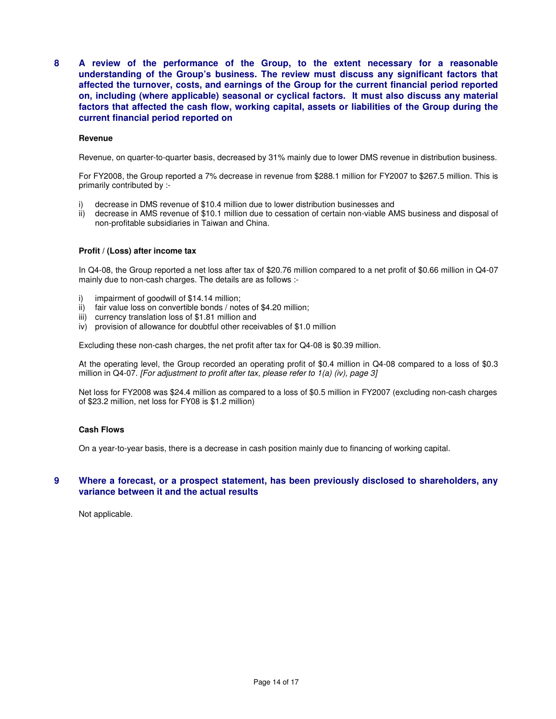**8 A review of the performance of the Group, to the extent necessary for a reasonable understanding of the Group's business. The review must discuss any significant factors that affected the turnover, costs, and earnings of the Group for the current financial period reported on, including (where applicable) seasonal or cyclical factors. It must also discuss any material factors that affected the cash flow, working capital, assets or liabilities of the Group during the current financial period reported on** 

#### **Revenue**

Revenue, on quarter-to-quarter basis, decreased by 31% mainly due to lower DMS revenue in distribution business.

For FY2008, the Group reported a 7% decrease in revenue from \$288.1 million for FY2007 to \$267.5 million. This is primarily contributed by :-

- i) decrease in DMS revenue of \$10.4 million due to lower distribution businesses and
- ii) decrease in AMS revenue of \$10.1 million due to cessation of certain non-viable AMS business and disposal of non-profitable subsidiaries in Taiwan and China.

#### **Profit / (Loss) after income tax**

In Q4-08, the Group reported a net loss after tax of \$20.76 million compared to a net profit of \$0.66 million in Q4-07 mainly due to non-cash charges. The details are as follows :-

- i) impairment of goodwill of \$14.14 million;
- ii) fair value loss on convertible bonds / notes of \$4.20 million;
- iii) currency translation loss of \$1.81 million and
- iv) provision of allowance for doubtful other receivables of \$1.0 million

Excluding these non-cash charges, the net profit after tax for Q4-08 is \$0.39 million.

At the operating level, the Group recorded an operating profit of \$0.4 million in Q4-08 compared to a loss of \$0.3 million in Q4-07. [For adjustment to profit after tax, please refer to 1(a) (iv), page 3]

Net loss for FY2008 was \$24.4 million as compared to a loss of \$0.5 million in FY2007 (excluding non-cash charges of \$23.2 million, net loss for FY08 is \$1.2 million)

#### **Cash Flows**

On a year-to-year basis, there is a decrease in cash position mainly due to financing of working capital.

## **9 Where a forecast, or a prospect statement, has been previously disclosed to shareholders, any variance between it and the actual results**

Not applicable.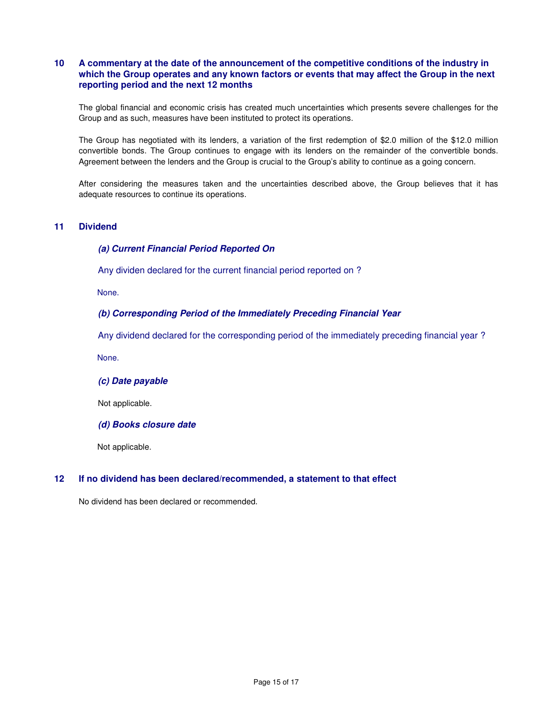# **10 A commentary at the date of the announcement of the competitive conditions of the industry in which the Group operates and any known factors or events that may affect the Group in the next reporting period and the next 12 months**

The global financial and economic crisis has created much uncertainties which presents severe challenges for the Group and as such, measures have been instituted to protect its operations.

The Group has negotiated with its lenders, a variation of the first redemption of \$2.0 million of the \$12.0 million convertible bonds. The Group continues to engage with its lenders on the remainder of the convertible bonds. Agreement between the lenders and the Group is crucial to the Group's ability to continue as a going concern.

After considering the measures taken and the uncertainties described above, the Group believes that it has adequate resources to continue its operations.

## **11 Dividend**

#### **(a) Current Financial Period Reported On**

Any dividen declared for the current financial period reported on ?

None.

## **(b) Corresponding Period of the Immediately Preceding Financial Year**

Any dividend declared for the corresponding period of the immediately preceding financial year ?

None.

**(c) Date payable** 

Not applicable.

#### **(d) Books closure date**

Not applicable.

## **12 If no dividend has been declared/recommended, a statement to that effect**

No dividend has been declared or recommended.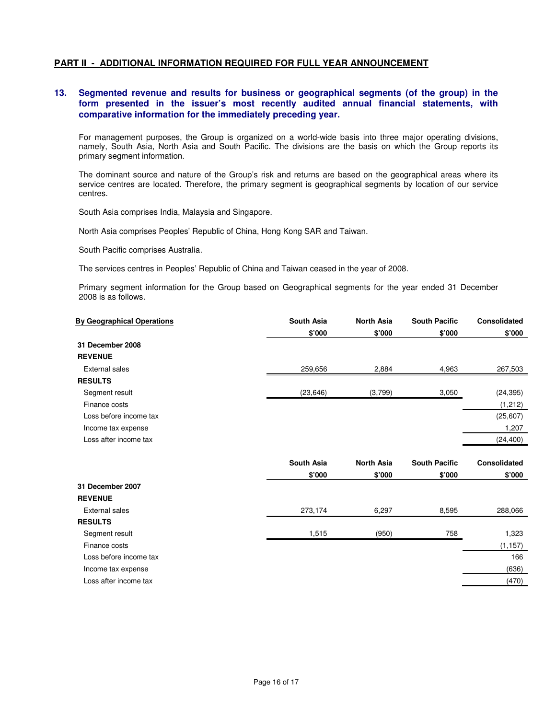# **PART II - ADDITIONAL INFORMATION REQUIRED FOR FULL YEAR ANNOUNCEMENT**

# **13. Segmented revenue and results for business or geographical segments (of the group) in the form presented in the issuer's most recently audited annual financial statements, with comparative information for the immediately preceding year.**

For management purposes, the Group is organized on a world-wide basis into three major operating divisions, namely, South Asia, North Asia and South Pacific. The divisions are the basis on which the Group reports its primary segment information.

The dominant source and nature of the Group's risk and returns are based on the geographical areas where its service centres are located. Therefore, the primary segment is geographical segments by location of our service centres.

South Asia comprises India, Malaysia and Singapore.

North Asia comprises Peoples' Republic of China, Hong Kong SAR and Taiwan.

South Pacific comprises Australia.

The services centres in Peoples' Republic of China and Taiwan ceased in the year of 2008.

Primary segment information for the Group based on Geographical segments for the year ended 31 December 2008 is as follows.

| <b>By Geographical Operations</b> | <b>South Asia</b> | <b>North Asia</b> | <b>South Pacific</b> | <b>Consolidated</b> |
|-----------------------------------|-------------------|-------------------|----------------------|---------------------|
|                                   | \$'000            | \$'000            | \$'000               | \$'000              |
| 31 December 2008                  |                   |                   |                      |                     |
| <b>REVENUE</b>                    |                   |                   |                      |                     |
| <b>External sales</b>             | 259,656           | 2,884             | 4,963                | 267,503             |
| <b>RESULTS</b>                    |                   |                   |                      |                     |
| Segment result                    | (23, 646)         | (3,799)           | 3,050                | (24, 395)           |
| Finance costs                     |                   |                   |                      | (1, 212)            |
| Loss before income tax            |                   |                   |                      | (25, 607)           |
| Income tax expense                |                   |                   |                      | 1,207               |
| Loss after income tax             |                   |                   |                      | (24, 400)           |
|                                   | South Asia        | <b>North Asia</b> | <b>South Pacific</b> | Consolidated        |
|                                   | \$'000            | \$'000            | \$'000               | \$'000              |
| 31 December 2007                  |                   |                   |                      |                     |
| <b>REVENUE</b>                    |                   |                   |                      |                     |
| <b>External sales</b>             | 273,174           | 6,297             | 8,595                | 288,066             |
| <b>RESULTS</b>                    |                   |                   |                      |                     |
| Segment result                    | 1,515             | (950)             | 758                  | 1,323               |
| Finance costs                     |                   |                   |                      | (1, 157)            |
| Loss before income tax            |                   |                   |                      | 166                 |
| Income tax expense                |                   |                   |                      | (636)               |
| Loss after income tax             |                   |                   |                      | (470)               |